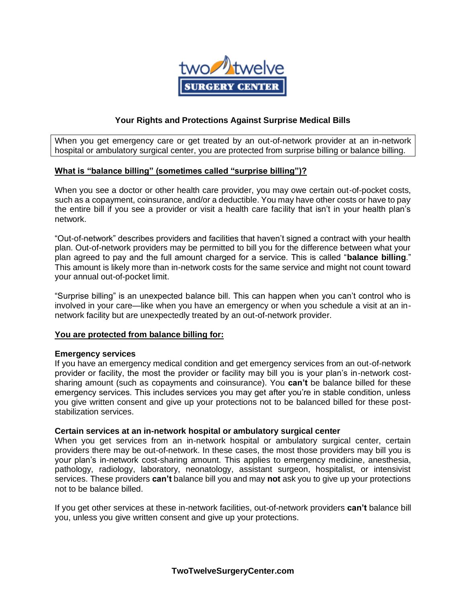

## **Your Rights and Protections Against Surprise Medical Bills**

When you get emergency care or get treated by an out-of-network provider at an in-network hospital or ambulatory surgical center, you are protected from surprise billing or balance billing.

### **What is "balance billing" (sometimes called "surprise billing")?**

When you see a doctor or other health care provider, you may owe certain out-of-pocket costs, such as a copayment, coinsurance, and/or a deductible. You may have other costs or have to pay the entire bill if you see a provider or visit a health care facility that isn't in your health plan's network.

"Out-of-network" describes providers and facilities that haven't signed a contract with your health plan. Out-of-network providers may be permitted to bill you for the difference between what your plan agreed to pay and the full amount charged for a service. This is called "**balance billing**." This amount is likely more than in-network costs for the same service and might not count toward your annual out-of-pocket limit.

"Surprise billing" is an unexpected balance bill. This can happen when you can't control who is involved in your care—like when you have an emergency or when you schedule a visit at an innetwork facility but are unexpectedly treated by an out-of-network provider.

#### **You are protected from balance billing for:**

#### **Emergency services**

If you have an emergency medical condition and get emergency services from an out-of-network provider or facility, the most the provider or facility may bill you is your plan's in-network costsharing amount (such as copayments and coinsurance). You **can't** be balance billed for these emergency services. This includes services you may get after you're in stable condition, unless you give written consent and give up your protections not to be balanced billed for these poststabilization services.

#### **Certain services at an in-network hospital or ambulatory surgical center**

When you get services from an in-network hospital or ambulatory surgical center, certain providers there may be out-of-network. In these cases, the most those providers may bill you is your plan's in-network cost-sharing amount. This applies to emergency medicine, anesthesia, pathology, radiology, laboratory, neonatology, assistant surgeon, hospitalist, or intensivist services. These providers **can't** balance bill you and may **not** ask you to give up your protections not to be balance billed.

If you get other services at these in-network facilities, out-of-network providers **can't** balance bill you, unless you give written consent and give up your protections.